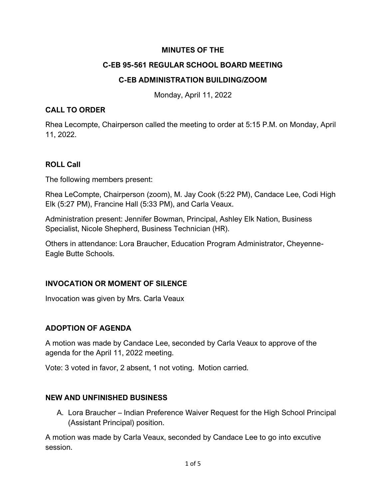### **MINUTES OF THE**

### **C-EB 95-561 REGULAR SCHOOL BOARD MEETING**

### **C-EB ADMINISTRATION BUILDING/ZOOM**

Monday, April 11, 2022

#### **CALL TO ORDER**

Rhea Lecompte, Chairperson called the meeting to order at 5:15 P.M. on Monday, April 11, 2022.

### **ROLL Call**

The following members present:

Rhea LeCompte, Chairperson (zoom), M. Jay Cook (5:22 PM), Candace Lee, Codi High Elk (5:27 PM), Francine Hall (5:33 PM), and Carla Veaux.

Administration present: Jennifer Bowman, Principal, Ashley Elk Nation, Business Specialist, Nicole Shepherd, Business Technician (HR).

Others in attendance: Lora Braucher, Education Program Administrator, Cheyenne-Eagle Butte Schools.

### **INVOCATION OR MOMENT OF SILENCE**

Invocation was given by Mrs. Carla Veaux

### **ADOPTION OF AGENDA**

A motion was made by Candace Lee, seconded by Carla Veaux to approve of the agenda for the April 11, 2022 meeting.

Vote: 3 voted in favor, 2 absent, 1 not voting. Motion carried.

### **NEW AND UNFINISHED BUSINESS**

A. Lora Braucher – Indian Preference Waiver Request for the High School Principal (Assistant Principal) position.

A motion was made by Carla Veaux, seconded by Candace Lee to go into excutive session.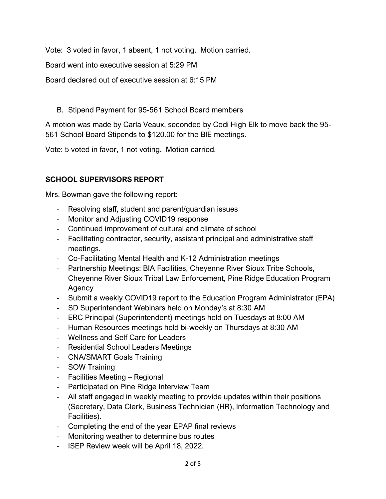Vote: 3 voted in favor, 1 absent, 1 not voting. Motion carried.

Board went into executive session at 5:29 PM

Board declared out of executive session at 6:15 PM

# B. Stipend Payment for 95-561 School Board members

A motion was made by Carla Veaux, seconded by Codi High Elk to move back the 95- 561 School Board Stipends to \$120.00 for the BIE meetings.

Vote: 5 voted in favor, 1 not voting. Motion carried.

# **SCHOOL SUPERVISORS REPORT**

Mrs. Bowman gave the following report:

- Resolving staff, student and parent/guardian issues
- Monitor and Adjusting COVID19 response
- Continued improvement of cultural and climate of school
- Facilitating contractor, security, assistant principal and administrative staff meetings.
- Co-Facilitating Mental Health and K-12 Administration meetings
- Partnership Meetings: BIA Facilities, Cheyenne River Sioux Tribe Schools, Cheyenne River Sioux Tribal Law Enforcement, Pine Ridge Education Program Agency
- Submit a weekly COVID19 report to the Education Program Administrator (EPA)
- SD Superintendent Webinars held on Monday's at 8:30 AM
- ERC Principal (Superintendent) meetings held on Tuesdays at 8:00 AM
- Human Resources meetings held bi-weekly on Thursdays at 8:30 AM
- Wellness and Self Care for Leaders
- Residential School Leaders Meetings
- CNA/SMART Goals Training
- SOW Training
- Facilities Meeting Regional
- Participated on Pine Ridge Interview Team
- All staff engaged in weekly meeting to provide updates within their positions (Secretary, Data Clerk, Business Technician (HR), Information Technology and Facilities).
- Completing the end of the year EPAP final reviews
- Monitoring weather to determine bus routes
- ISEP Review week will be April 18, 2022.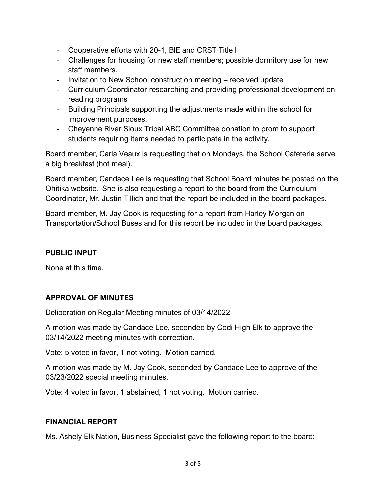- Cooperative efforts with 20-1, BIE and CRST Title I
- Challenges for housing for new staff members; possible dormitory use for new staff members.
- Invitation to New School construction meeting received update
- Curriculum Coordinator researching and providing professional development on reading programs
- Building Principals supporting the adjustments made within the school for improvement purposes.
- Cheyenne River Sioux Tribal ABC Committee donation to prom to support students requiring items needed to participate in the activity.

Board member, Carla Veaux is requesting that on Mondays, the School Cafeteria serve a big breakfast (hot meal).

Board member, Candace Lee is requesting that School Board minutes be posted on the Ohitika website. She is also requesting a report to the board from the Curriculum Coordinator, Mr. Justin Tillich and that the report be included in the board packages.

Board member, M. Jay Cook is requesting for a report from Harley Morgan on Transportation/School Buses and for this report be included in the board packages.

## **PUBLIC INPUT**

None at this time.

## **APPROVAL OF MINUTES**

Deliberation on Regular Meeting minutes of 03/14/2022

A motion was made by Candace Lee, seconded by Codi High Elk to approve the 03/14/2022 meeting minutes with correction.

Vote: 5 voted in favor, 1 not voting. Motion carried.

A motion was made by M. Jay Cook, seconded by Candace Lee to approve of the 03/23/2022 special meeting minutes.

Vote: 4 voted in favor, 1 abstained, 1 not voting. Motion carried.

### **FINANCIAL REPORT**

Ms. Ashely Elk Nation, Business Specialist gave the following report to the board: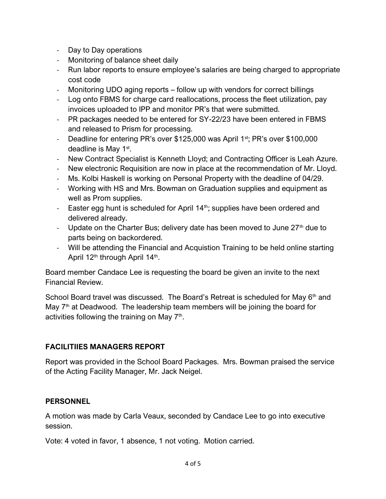- Day to Day operations
- Monitoring of balance sheet daily
- Run labor reports to ensure employee's salaries are being charged to appropriate cost code
- Monitoring UDO aging reports follow up with vendors for correct billings
- Log onto FBMS for charge card reallocations, process the fleet utilization, pay invoices uploaded to IPP and monitor PR's that were submitted.
- PR packages needed to be entered for SY-22/23 have been entered in FBMS and released to Prism for processing.
- Deadline for entering PR's over \$125,000 was April 1<sup>st</sup>; PR's over \$100,000 deadline is May 1<sup>st</sup>.
- New Contract Specialist is Kenneth Lloyd; and Contracting Officer is Leah Azure.
- New electronic Requisition are now in place at the recommendation of Mr. Lloyd.
- Ms. Kolbi Haskell is working on Personal Property with the deadline of 04/29.
- Working with HS and Mrs. Bowman on Graduation supplies and equipment as well as Prom supplies.
- Easter egg hunt is scheduled for April  $14<sup>th</sup>$ ; supplies have been ordered and delivered already.
- Update on the Charter Bus; delivery date has been moved to June  $27<sup>th</sup>$  due to parts being on backordered.
- Will be attending the Financial and Acquistion Training to be held online starting April 12<sup>th</sup> through April 14<sup>th</sup>.

Board member Candace Lee is requesting the board be given an invite to the next Financial Review.

School Board travel was discussed. The Board's Retreat is scheduled for May  $6<sup>th</sup>$  and May  $7<sup>th</sup>$  at Deadwood. The leadership team members will be joining the board for activities following the training on May 7<sup>th</sup>.

## **FACILITIIES MANAGERS REPORT**

Report was provided in the School Board Packages. Mrs. Bowman praised the service of the Acting Facility Manager, Mr. Jack Neigel.

### **PERSONNEL**

A motion was made by Carla Veaux, seconded by Candace Lee to go into executive session.

Vote: 4 voted in favor, 1 absence, 1 not voting. Motion carried.